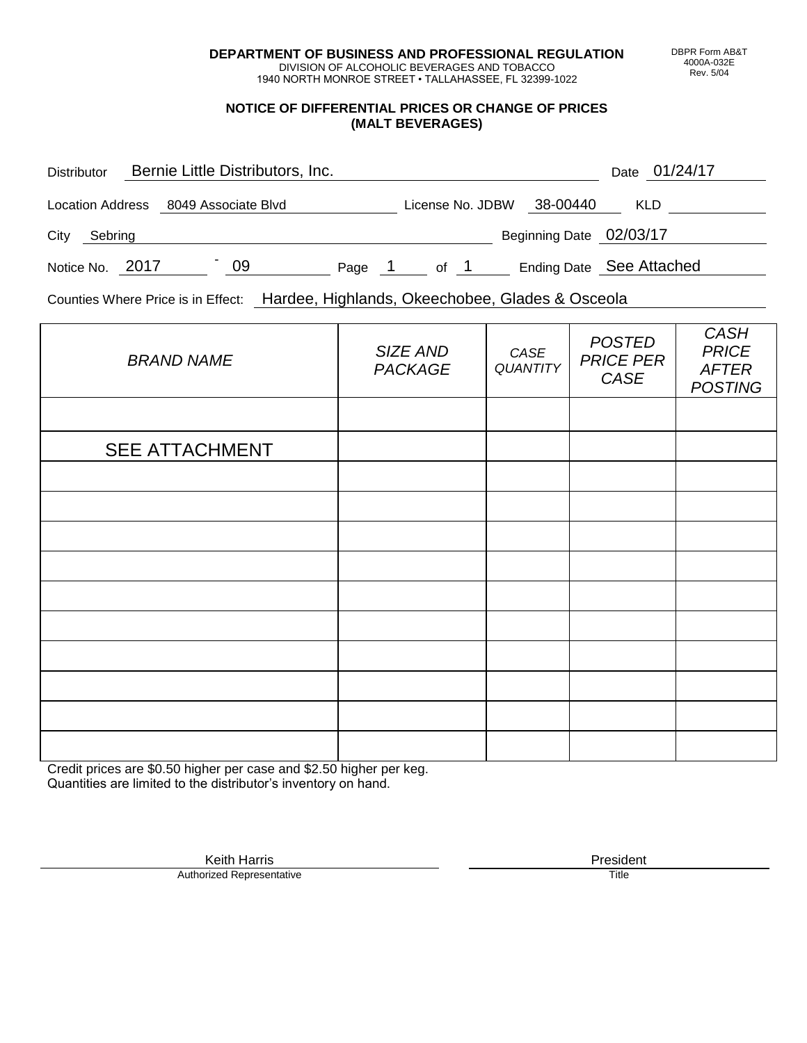**DEPARTMENT OF BUSINESS AND PROFESSIONAL REGULATION** DIVISION OF ALCOHOLIC BEVERAGES AND TOBACCO

1940 NORTH MONROE STREET • TALLAHASSEE, FL 32399-1022

## **NOTICE OF DIFFERENTIAL PRICES OR CHANGE OF PRICES (MALT BEVERAGES)**

| <b>Distributor</b> | Bernie Little Distributors, Inc. |    |        |                  |                         | Date 01/24/17            |
|--------------------|----------------------------------|----|--------|------------------|-------------------------|--------------------------|
| Location Address   | 8049 Associate Blvd              |    |        | License No. JDBW | 38-00440                | <b>KLD</b>               |
| City<br>Sebring    |                                  |    |        |                  | Beginning Date 02/03/17 |                          |
| Notice No. 2017    |                                  | 09 | Page 1 | of 1             |                         | Ending Date See Attached |

Counties Where Price is in Effect: Hardee, Highlands, Okeechobee, Glades & Osceola

| <b>BRAND NAME</b>     | SIZE AND<br>PACKAGE | CASE<br><b>QUANTITY</b> | <b>POSTED</b><br><b>PRICE PER</b><br>CASE | <b>CASH</b><br><b>PRICE</b><br><b>AFTER</b><br><b>POSTING</b> |
|-----------------------|---------------------|-------------------------|-------------------------------------------|---------------------------------------------------------------|
|                       |                     |                         |                                           |                                                               |
| <b>SEE ATTACHMENT</b> |                     |                         |                                           |                                                               |
|                       |                     |                         |                                           |                                                               |
|                       |                     |                         |                                           |                                                               |
|                       |                     |                         |                                           |                                                               |
|                       |                     |                         |                                           |                                                               |
|                       |                     |                         |                                           |                                                               |
|                       |                     |                         |                                           |                                                               |
|                       |                     |                         |                                           |                                                               |
|                       |                     |                         |                                           |                                                               |
|                       |                     |                         |                                           |                                                               |
|                       |                     |                         |                                           |                                                               |

Credit prices are \$0.50 higher per case and \$2.50 higher per keg. Quantities are limited to the distributor's inventory on hand.

> Keith Harris **President**<br> **President**<br>
> Prized Representative **President** Authorized Representative

DBPR Form AB&T 4000A-032E Rev. 5/04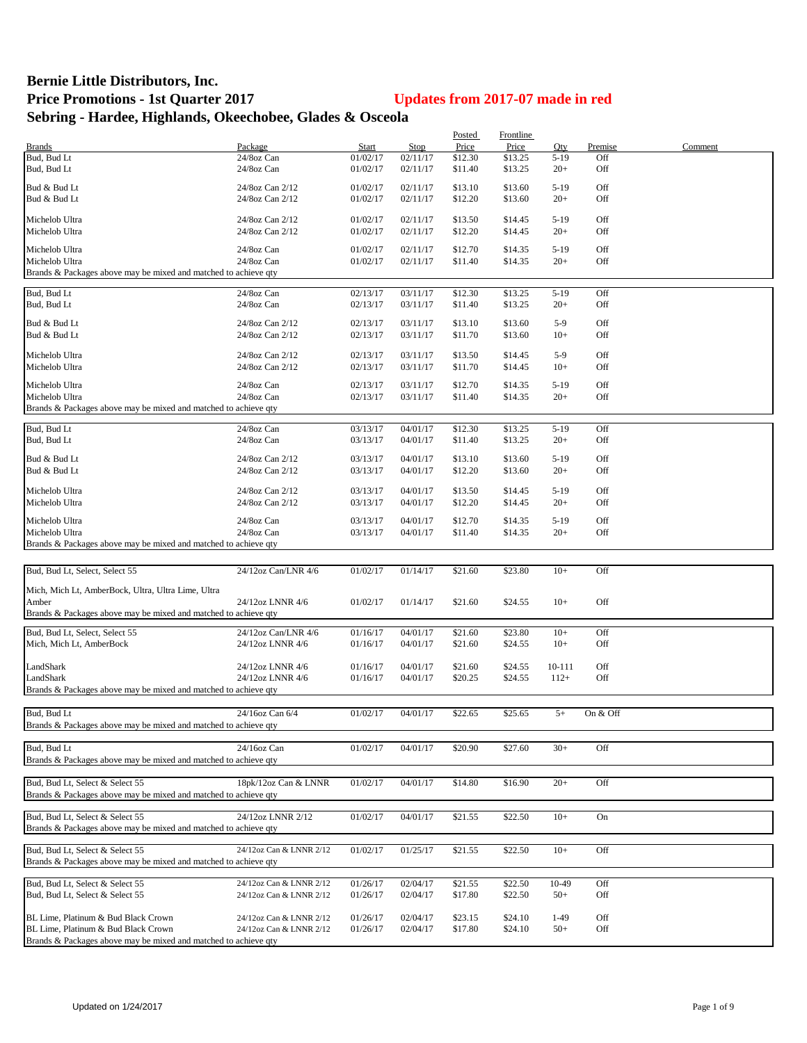## **Bernie Little Distributors, Inc. Price Promotions - 1st Quarter 2017 Updates from 2017-07 made in red Sebring - Hardee, Highlands, Okeechobee, Glades & Osceola**

|                                                                 |                         |          |          | Posted  | Frontline |        |          |         |
|-----------------------------------------------------------------|-------------------------|----------|----------|---------|-----------|--------|----------|---------|
| <b>Brands</b>                                                   | Package                 | Start    | Stop     | Price   | Price     | Qty    | Premise  | Comment |
| Bud, Bud Lt                                                     | 24/8oz Can              | 01/02/17 | 02/11/17 | \$12.30 | \$13.25   | $5-19$ | Off      |         |
| Bud, Bud Lt                                                     | 24/8oz Can              | 01/02/17 | 02/11/17 | \$11.40 | \$13.25   | $20+$  | Off      |         |
|                                                                 |                         |          |          |         |           |        |          |         |
| Bud & Bud Lt                                                    | 24/8oz Can 2/12         | 01/02/17 | 02/11/17 | \$13.10 | \$13.60   | $5-19$ | Off      |         |
| Bud & Bud Lt                                                    | 24/8oz Can 2/12         | 01/02/17 | 02/11/17 | \$12.20 | \$13.60   | $20+$  | Off      |         |
| Michelob Ultra                                                  | 24/8oz Can 2/12         | 01/02/17 | 02/11/17 | \$13.50 | \$14.45   | $5-19$ | Off      |         |
| Michelob Ultra                                                  | 24/8oz Can 2/12         | 01/02/17 | 02/11/17 | \$12.20 | \$14.45   | $20+$  | Off      |         |
|                                                                 |                         |          |          |         |           |        |          |         |
| Michelob Ultra                                                  | 24/8oz Can              | 01/02/17 | 02/11/17 | \$12.70 | \$14.35   | $5-19$ | Off      |         |
| Michelob Ultra                                                  | 24/8oz Can              | 01/02/17 | 02/11/17 | \$11.40 | \$14.35   | $20+$  | Off      |         |
| Brands & Packages above may be mixed and matched to achieve qty |                         |          |          |         |           |        |          |         |
|                                                                 |                         |          |          |         |           |        |          |         |
| Bud, Bud Lt                                                     | 24/8oz Can              | 02/13/17 | 03/11/17 | \$12.30 | \$13.25   | $5-19$ | Off      |         |
| Bud, Bud Lt                                                     | 24/8oz Can              | 02/13/17 | 03/11/17 | \$11.40 | \$13.25   | $20+$  | Off      |         |
|                                                                 |                         |          |          |         |           | $5-9$  |          |         |
| Bud & Bud Lt                                                    | 24/8oz Can 2/12         | 02/13/17 | 03/11/17 | \$13.10 | \$13.60   |        | Off      |         |
| Bud & Bud Lt                                                    | 24/8oz Can 2/12         | 02/13/17 | 03/11/17 | \$11.70 | \$13.60   | $10+$  | Off      |         |
| Michelob Ultra                                                  | 24/8oz Can 2/12         | 02/13/17 | 03/11/17 | \$13.50 | \$14.45   | $5-9$  | Off      |         |
| Michelob Ultra                                                  | 24/8oz Can 2/12         | 02/13/17 | 03/11/17 | \$11.70 | \$14.45   | $10+$  | Off      |         |
|                                                                 |                         |          |          |         |           |        |          |         |
| Michelob Ultra                                                  | 24/8oz Can              | 02/13/17 | 03/11/17 | \$12.70 | \$14.35   | $5-19$ | Off      |         |
| Michelob Ultra                                                  | 24/8oz Can              | 02/13/17 | 03/11/17 | \$11.40 | \$14.35   | $20+$  | Off      |         |
| Brands & Packages above may be mixed and matched to achieve qty |                         |          |          |         |           |        |          |         |
|                                                                 |                         |          |          |         |           |        |          |         |
| Bud, Bud Lt                                                     | 24/8oz Can              | 03/13/17 | 04/01/17 | \$12.30 | \$13.25   | $5-19$ | Off      |         |
| Bud, Bud Lt                                                     | 24/8oz Can              | 03/13/17 | 04/01/17 | \$11.40 | \$13.25   | $20+$  | Off      |         |
|                                                                 |                         |          |          |         |           |        |          |         |
| Bud & Bud Lt                                                    | 24/8oz Can 2/12         | 03/13/17 | 04/01/17 | \$13.10 | \$13.60   | $5-19$ | Off      |         |
| Bud & Bud Lt                                                    | 24/8oz Can 2/12         | 03/13/17 | 04/01/17 | \$12.20 | \$13.60   | $20+$  | Off      |         |
| Michelob Ultra                                                  | 24/8oz Can 2/12         | 03/13/17 | 04/01/17 | \$13.50 | \$14.45   | $5-19$ | Off      |         |
|                                                                 |                         |          |          |         |           |        |          |         |
| Michelob Ultra                                                  | 24/8oz Can 2/12         | 03/13/17 | 04/01/17 | \$12.20 | \$14.45   | $20+$  | Off      |         |
| Michelob Ultra                                                  | 24/8oz Can              | 03/13/17 | 04/01/17 | \$12.70 | \$14.35   | $5-19$ | Off      |         |
| Michelob Ultra                                                  | 24/8oz Can              | 03/13/17 | 04/01/17 | \$11.40 | \$14.35   | $20+$  | Off      |         |
| Brands & Packages above may be mixed and matched to achieve qty |                         |          |          |         |           |        |          |         |
|                                                                 |                         |          |          |         |           |        |          |         |
|                                                                 |                         |          |          |         |           |        |          |         |
| Bud, Bud Lt, Select, Select 55                                  | 24/12oz Can/LNR 4/6     | 01/02/17 | 01/14/17 | \$21.60 | \$23.80   | $10+$  | Off      |         |
| Mich, Mich Lt, AmberBock, Ultra, Ultra Lime, Ultra              |                         |          |          |         |           |        |          |         |
| Amber                                                           | 24/12oz LNNR 4/6        | 01/02/17 | 01/14/17 | \$21.60 | \$24.55   | $10+$  | Off      |         |
| Brands & Packages above may be mixed and matched to achieve qty |                         |          |          |         |           |        |          |         |
|                                                                 |                         |          |          |         |           |        |          |         |
| Bud, Bud Lt, Select, Select 55                                  | 24/12oz Can/LNR 4/6     | 01/16/17 | 04/01/17 | \$21.60 | \$23.80   | $10+$  | Off      |         |
| Mich, Mich Lt, AmberBock                                        | 24/12oz LNNR 4/6        | 01/16/17 | 04/01/17 | \$21.60 | \$24.55   | $10+$  | Off      |         |
|                                                                 |                         |          |          |         |           |        |          |         |
| LandShark                                                       | 24/12oz LNNR 4/6        | 01/16/17 | 04/01/17 | \$21.60 | \$24.55   | 10-111 | Off      |         |
| LandShark                                                       | 24/12oz LNNR 4/6        | 01/16/17 | 04/01/17 | \$20.25 | \$24.55   | $112+$ | Off      |         |
| Brands & Packages above may be mixed and matched to achieve qty |                         |          |          |         |           |        |          |         |
|                                                                 |                         |          |          |         |           |        |          |         |
| Bud, Bud Lt                                                     | 24/16oz Can 6/4         | 01/02/17 | 04/01/17 | \$22.65 | \$25.65   | $5+$   | On & Off |         |
| Brands & Packages above may be mixed and matched to achieve qty |                         |          |          |         |           |        |          |         |
|                                                                 |                         |          |          |         |           |        |          |         |
| Bud, Bud Lt                                                     | 24/16oz Can             | 01/02/17 | 04/01/17 | \$20.90 | \$27.60   | $30+$  | Off      |         |
|                                                                 |                         |          |          |         |           |        |          |         |
| Brands & Packages above may be mixed and matched to achieve qty |                         |          |          |         |           |        |          |         |
|                                                                 |                         |          |          |         |           |        |          |         |
| Bud, Bud Lt, Select & Select 55                                 | 18pk/12oz Can & LNNR    | 01/02/17 | 04/01/17 | \$14.80 | \$16.90   | $20+$  | Off      |         |
| Brands & Packages above may be mixed and matched to achieve qty |                         |          |          |         |           |        |          |         |
|                                                                 | 24/12oz LNNR 2/12       |          |          |         |           |        |          |         |
| Bud, Bud Lt, Select & Select 55                                 |                         | 01/02/17 | 04/01/17 | \$21.55 | \$22.50   | $10+$  | On       |         |
| Brands & Packages above may be mixed and matched to achieve qty |                         |          |          |         |           |        |          |         |
|                                                                 |                         |          |          |         |           |        |          |         |
| Bud, Bud Lt, Select & Select 55                                 | 24/12oz Can & LNNR 2/12 | 01/02/17 | 01/25/17 | \$21.55 | \$22.50   | $10+$  | Off      |         |
| Brands & Packages above may be mixed and matched to achieve qty |                         |          |          |         |           |        |          |         |
| Bud, Bud Lt, Select & Select 55                                 | 24/12oz Can & LNNR 2/12 |          |          |         |           | 10-49  | Off      |         |
|                                                                 |                         | 01/26/17 | 02/04/17 | \$21.55 | \$22.50   |        |          |         |
| Bud, Bud Lt, Select & Select 55                                 | 24/12oz Can & LNNR 2/12 | 01/26/17 | 02/04/17 | \$17.80 | \$22.50   | $50+$  | Off      |         |
|                                                                 |                         |          |          |         |           |        |          |         |
| BL Lime, Platinum & Bud Black Crown                             | 24/12oz Can & LNNR 2/12 | 01/26/17 | 02/04/17 | \$23.15 | \$24.10   | $1-49$ | Off      |         |
| BL Lime, Platinum & Bud Black Crown                             | 24/12oz Can & LNNR 2/12 | 01/26/17 | 02/04/17 | \$17.80 | \$24.10   | $50+$  | Off      |         |
| Brands & Packages above may be mixed and matched to achieve qty |                         |          |          |         |           |        |          |         |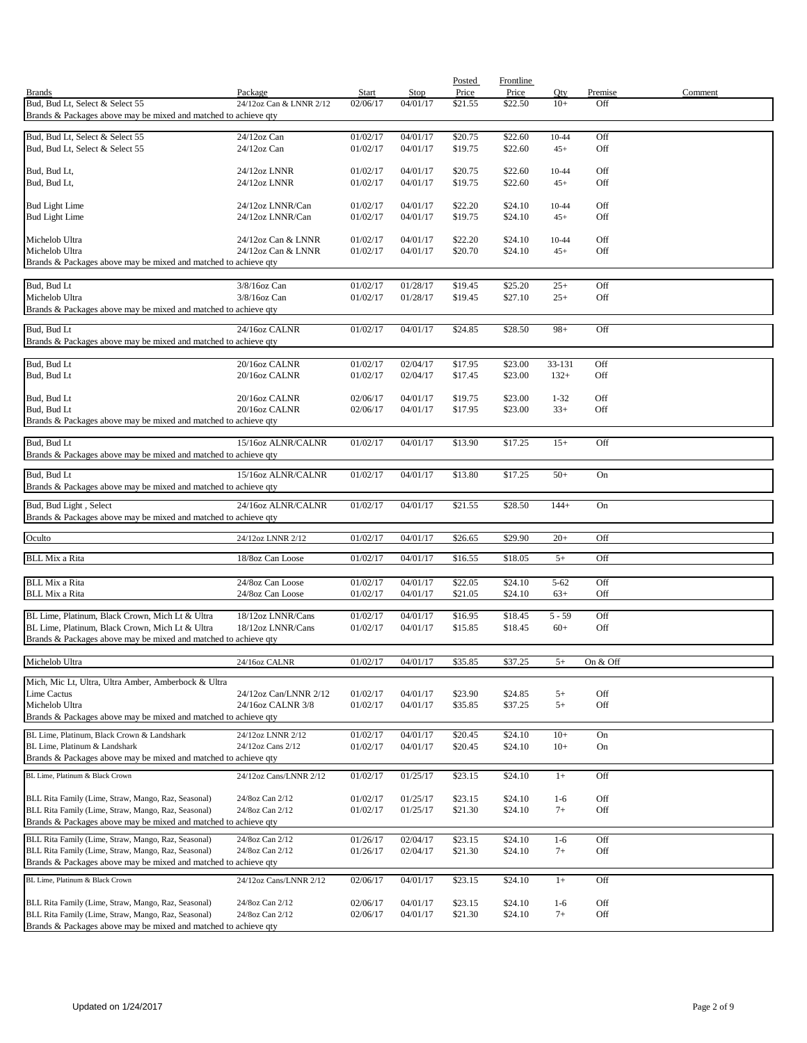|                                                                                                                        |                                      |                          |                         | Posted             | Frontline          |               |                       |         |
|------------------------------------------------------------------------------------------------------------------------|--------------------------------------|--------------------------|-------------------------|--------------------|--------------------|---------------|-----------------------|---------|
| <b>Brands</b><br>Bud, Bud Lt, Select & Select 55                                                                       | Package                              | <b>Start</b><br>02/06/17 | <b>Stop</b><br>04/01/17 | Price              | Price              | Qty<br>$10+$  | <b>Premise</b><br>Off | Comment |
| Brands & Packages above may be mixed and matched to achieve qty                                                        | 24/12oz Can & LNNR 2/12              |                          |                         | \$21.55            | \$22.50            |               |                       |         |
|                                                                                                                        |                                      |                          |                         |                    |                    |               |                       |         |
| Bud, Bud Lt, Select & Select 55<br>Bud, Bud Lt, Select & Select 55                                                     | 24/12oz Can<br>24/12oz Can           | 01/02/17                 | 04/01/17<br>04/01/17    | \$20.75            | \$22.60<br>\$22.60 | 10-44         | Off<br>Off            |         |
|                                                                                                                        |                                      | 01/02/17                 |                         | \$19.75            |                    | $45+$         |                       |         |
| Bud, Bud Lt,                                                                                                           | 24/12oz LNNR                         | 01/02/17                 | 04/01/17                | \$20.75            | \$22.60            | 10-44         | Off                   |         |
| Bud, Bud Lt,                                                                                                           | 24/12oz LNNR                         | 01/02/17                 | 04/01/17                | \$19.75            | \$22.60            | $45+$         | Off                   |         |
| <b>Bud Light Lime</b>                                                                                                  | 24/12oz LNNR/Can                     | 01/02/17                 | 04/01/17                | \$22.20            | \$24.10            | $10 - 44$     | Off                   |         |
| <b>Bud Light Lime</b>                                                                                                  | 24/12oz LNNR/Can                     | 01/02/17                 | 04/01/17                | \$19.75            | \$24.10            | $45+$         | Off                   |         |
|                                                                                                                        |                                      |                          |                         |                    |                    |               |                       |         |
| Michelob Ultra                                                                                                         | 24/12oz Can & LNNR                   | 01/02/17                 | 04/01/17                | \$22.20            | \$24.10            | 10-44         | Off                   |         |
| Michelob Ultra<br>Brands & Packages above may be mixed and matched to achieve qty                                      | 24/12oz Can & LNNR                   | 01/02/17                 | 04/01/17                | \$20.70            | \$24.10            | $45+$         | Off                   |         |
|                                                                                                                        |                                      |                          |                         |                    |                    |               |                       |         |
| Bud, Bud Lt                                                                                                            | 3/8/16oz Can                         | 01/02/17                 | 01/28/17                | \$19.45            | \$25.20            | $25+$         | Off                   |         |
| Michelob Ultra                                                                                                         | 3/8/16oz Can                         | 01/02/17                 | 01/28/17                | \$19.45            | \$27.10            | $25+$         | Off                   |         |
| Brands & Packages above may be mixed and matched to achieve qty                                                        |                                      |                          |                         |                    |                    |               |                       |         |
| Bud, Bud Lt                                                                                                            | 24/16oz CALNR                        | 01/02/17                 | 04/01/17                | \$24.85            | \$28.50            | $98+$         | Off                   |         |
| Brands & Packages above may be mixed and matched to achieve qty                                                        |                                      |                          |                         |                    |                    |               |                       |         |
| Bud, Bud Lt                                                                                                            | 20/16oz CALNR                        | 01/02/17                 | 02/04/17                | \$17.95            | \$23.00            | 33-131        | Off                   |         |
| Bud, Bud Lt                                                                                                            | 20/16oz CALNR                        | 01/02/17                 | 02/04/17                | \$17.45            | \$23.00            | $132+$        | Off                   |         |
|                                                                                                                        |                                      |                          |                         |                    |                    |               |                       |         |
| Bud, Bud Lt                                                                                                            | 20/16oz CALNR                        | 02/06/17                 | 04/01/17                | \$19.75            | \$23.00            | $1 - 32$      | Off                   |         |
| Bud, Bud Lt                                                                                                            | 20/16oz CALNR                        | 02/06/17                 | 04/01/17                | \$17.95            | \$23.00            | $33+$         | Off                   |         |
| Brands & Packages above may be mixed and matched to achieve qty                                                        |                                      |                          |                         |                    |                    |               |                       |         |
| Bud, Bud Lt                                                                                                            | 15/16oz ALNR/CALNR                   | 01/02/17                 | 04/01/17                | \$13.90            | \$17.25            | $15+$         | Off                   |         |
| Brands & Packages above may be mixed and matched to achieve qty                                                        |                                      |                          |                         |                    |                    |               |                       |         |
| Bud, Bud Lt                                                                                                            | 15/16oz ALNR/CALNR                   | 01/02/17                 | 04/01/17                | \$13.80            | \$17.25            | $50+$         | On                    |         |
| Brands & Packages above may be mixed and matched to achieve qty                                                        |                                      |                          |                         |                    |                    |               |                       |         |
| Bud, Bud Light, Select                                                                                                 | 24/16oz ALNR/CALNR                   | 01/02/17                 | 04/01/17                | \$21.55            | \$28.50            | $144+$        | On                    |         |
| Brands & Packages above may be mixed and matched to achieve qty                                                        |                                      |                          |                         |                    |                    |               |                       |         |
|                                                                                                                        |                                      |                          |                         |                    |                    |               |                       |         |
| Oculto                                                                                                                 | 24/12oz LNNR 2/12                    | 01/02/17                 | 04/01/17                | \$26.65            | \$29.90            | $20+$         | Off                   |         |
| <b>BLL Mix a Rita</b>                                                                                                  | 18/8oz Can Loose                     | 01/02/17                 | 04/01/17                | \$16.55            | \$18.05            | $5+$          | Off                   |         |
|                                                                                                                        |                                      |                          |                         |                    |                    |               |                       |         |
| <b>BLL Mix a Rita</b><br><b>BLL Mix a Rita</b>                                                                         | 24/8oz Can Loose<br>24/8oz Can Loose | 01/02/17                 | 04/01/17                | \$22.05            | \$24.10            | $5 - 62$      | Off<br>Off            |         |
|                                                                                                                        |                                      | 01/02/17                 | 04/01/17                | \$21.05            | \$24.10            | $63+$         |                       |         |
| BL Lime, Platinum, Black Crown, Mich Lt & Ultra                                                                        | 18/12oz LNNR/Cans                    | 01/02/17                 | 04/01/17                | \$16.95            | \$18.45            | 5 - 59        | Off                   |         |
| BL Lime, Platinum, Black Crown, Mich Lt & Ultra                                                                        | 18/12oz LNNR/Cans                    | 01/02/17                 | 04/01/17                | \$15.85            | \$18.45            | $60+$         | Off                   |         |
| Brands & Packages above may be mixed and matched to achieve qty                                                        |                                      |                          |                         |                    |                    |               |                       |         |
| Michelob Ultra                                                                                                         | 24/16oz CALNR                        | 01/02/17                 | 04/01/17                | \$35.85            | \$37.25            | $5+$          | On & Off              |         |
|                                                                                                                        |                                      |                          |                         |                    |                    |               |                       |         |
| Mich, Mic Lt, Ultra, Ultra Amber, Amberbock & Ultra<br>Lime Cactus                                                     | 24/12oz Can/LNNR 2/12                | 01/02/17                 | 04/01/17                | \$23.90            | \$24.85            | $5+$          | Off                   |         |
| Michelob Ultra                                                                                                         | 24/16oz CALNR 3/8                    | 01/02/17                 | 04/01/17                | \$35.85            | \$37.25            | $5+$          | Off                   |         |
| Brands & Packages above may be mixed and matched to achieve qty                                                        |                                      |                          |                         |                    |                    |               |                       |         |
| BL Lime, Platinum, Black Crown & Landshark                                                                             | 24/12oz LNNR 2/12                    | 01/02/17                 | 04/01/17                | \$20.45            | \$24.10            | $10+$         | On                    |         |
| BL Lime, Platinum & Landshark                                                                                          | 24/12oz Cans 2/12                    | 01/02/17                 | 04/01/17                | \$20.45            | \$24.10            | $10+$         | On                    |         |
| Brands & Packages above may be mixed and matched to achieve qty                                                        |                                      |                          |                         |                    |                    |               |                       |         |
| BL Lime, Platinum & Black Crown                                                                                        | 24/12oz Cans/LNNR 2/12               | 01/02/17                 | 01/25/17                | \$23.15            | \$24.10            | $1+$          | Off                   |         |
|                                                                                                                        |                                      |                          |                         |                    |                    |               |                       |         |
| BLL Rita Family (Lime, Straw, Mango, Raz, Seasonal)                                                                    | 24/8oz Can 2/12                      | 01/02/17                 | 01/25/17                | \$23.15            | \$24.10            | $1-6$         | Off                   |         |
| BLL Rita Family (Lime, Straw, Mango, Raz, Seasonal)<br>Brands & Packages above may be mixed and matched to achieve qty | 24/8oz Can 2/12                      | 01/02/17                 | 01/25/17                | \$21.30            | \$24.10            | $7+$          | Off                   |         |
|                                                                                                                        |                                      |                          |                         |                    |                    |               |                       |         |
| BLL Rita Family (Lime, Straw, Mango, Raz, Seasonal)<br>BLL Rita Family (Lime, Straw, Mango, Raz, Seasonal)             | 24/8oz Can 2/12<br>24/8oz Can 2/12   | 01/26/17<br>01/26/17     | 02/04/17<br>02/04/17    | \$23.15<br>\$21.30 | \$24.10<br>\$24.10 | $1-6$<br>$7+$ | Off<br>Off            |         |
| Brands & Packages above may be mixed and matched to achieve qty                                                        |                                      |                          |                         |                    |                    |               |                       |         |
| BL Lime, Platinum & Black Crown                                                                                        | 24/12oz Cans/LNNR 2/12               | 02/06/17                 | 04/01/17                | \$23.15            | \$24.10            | $1+$          | Off                   |         |
|                                                                                                                        |                                      |                          |                         |                    |                    |               |                       |         |
| BLL Rita Family (Lime, Straw, Mango, Raz, Seasonal)                                                                    | 24/8oz Can 2/12                      | 02/06/17                 | 04/01/17                | \$23.15            | \$24.10            | $1-6$         | Off                   |         |
| BLL Rita Family (Lime, Straw, Mango, Raz, Seasonal)                                                                    | 24/8oz Can 2/12                      | 02/06/17                 | 04/01/17                | \$21.30            | \$24.10            | $7+$          | Off                   |         |
| Brands & Packages above may be mixed and matched to achieve qty                                                        |                                      |                          |                         |                    |                    |               |                       |         |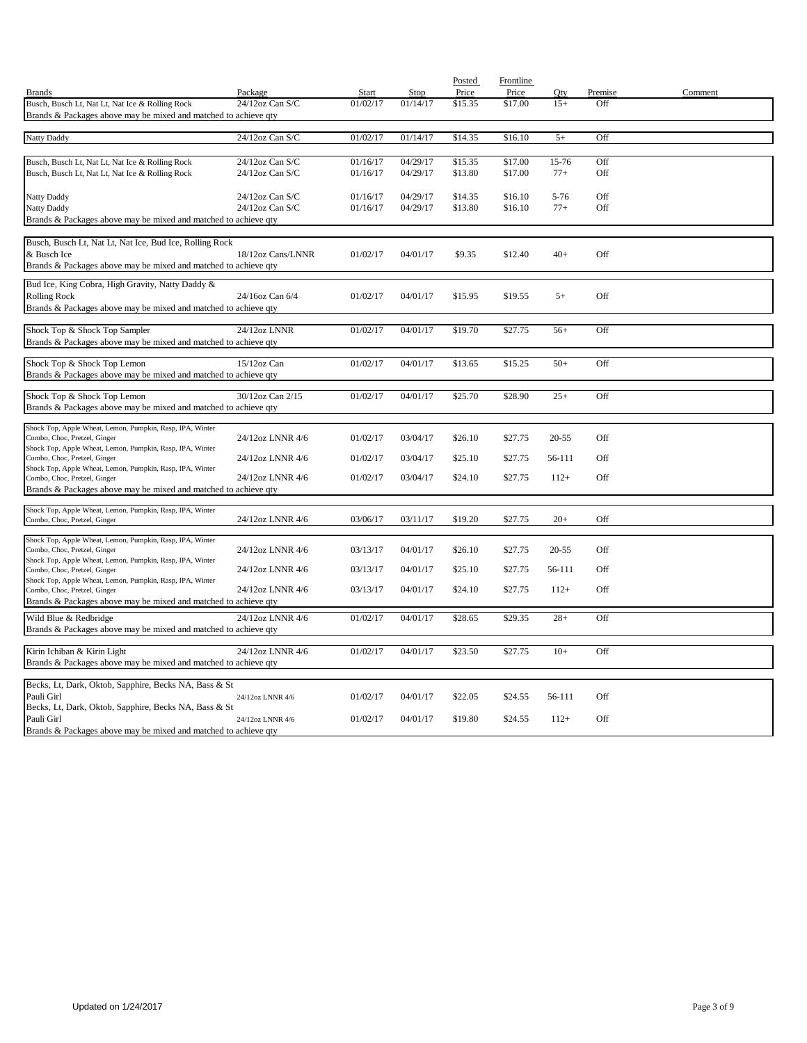|                                                                                                                    |                    |          |          | Posted  | Frontline |          |         |         |
|--------------------------------------------------------------------------------------------------------------------|--------------------|----------|----------|---------|-----------|----------|---------|---------|
| <b>Brands</b>                                                                                                      | Package            | Start    | Stop     | Price   | Price     | Oty      | Premise | Comment |
| Busch, Busch Lt, Nat Lt, Nat Ice & Rolling Rock<br>Brands & Packages above may be mixed and matched to achieve qty | 24/12oz Can S/C    | 01/02/17 | 01/14/17 | \$15.35 | \$17.00   | $15+$    | Off     |         |
|                                                                                                                    |                    |          |          |         |           |          |         |         |
| Natty Daddy                                                                                                        | 24/12oz Can S/C    | 01/02/17 | 01/14/17 | \$14.35 | \$16.10   | $5+$     | Off     |         |
|                                                                                                                    |                    |          |          |         |           |          |         |         |
| Busch, Busch Lt, Nat Lt, Nat Ice & Rolling Rock                                                                    | 24/12oz Can S/C    | 01/16/17 | 04/29/17 | \$15.35 | \$17.00   | 15-76    | Off     |         |
| Busch, Busch Lt, Nat Lt, Nat Ice & Rolling Rock                                                                    | 24/12oz Can S/C    | 01/16/17 | 04/29/17 | \$13.80 | \$17.00   | $77+$    | Off     |         |
|                                                                                                                    |                    |          |          |         |           |          |         |         |
| Natty Daddy                                                                                                        | 24/12oz Can S/C    | 01/16/17 | 04/29/17 | \$14.35 | \$16.10   | $5 - 76$ | Off     |         |
| Natty Daddy                                                                                                        | $24/12$ oz Can S/C | 01/16/17 | 04/29/17 | \$13.80 | \$16.10   | $77+$    | Off     |         |
| Brands & Packages above may be mixed and matched to achieve qty                                                    |                    |          |          |         |           |          |         |         |
|                                                                                                                    |                    |          |          |         |           |          |         |         |
| Busch, Busch Lt, Nat Lt, Nat Ice, Bud Ice, Rolling Rock<br>& Busch Ice                                             | 18/12oz Cans/LNNR  | 01/02/17 | 04/01/17 | \$9.35  | \$12.40   | $40+$    | Off     |         |
| Brands & Packages above may be mixed and matched to achieve qty                                                    |                    |          |          |         |           |          |         |         |
|                                                                                                                    |                    |          |          |         |           |          |         |         |
| Bud Ice, King Cobra, High Gravity, Natty Daddy &                                                                   |                    |          |          |         |           |          |         |         |
| <b>Rolling Rock</b>                                                                                                | 24/16oz Can 6/4    | 01/02/17 | 04/01/17 | \$15.95 | \$19.55   | $5+$     | Off     |         |
| Brands & Packages above may be mixed and matched to achieve qty                                                    |                    |          |          |         |           |          |         |         |
| Shock Top & Shock Top Sampler                                                                                      | 24/12oz LNNR       | 01/02/17 | 04/01/17 | \$19.70 | \$27.75   | $56+$    | Off     |         |
| Brands & Packages above may be mixed and matched to achieve qty                                                    |                    |          |          |         |           |          |         |         |
|                                                                                                                    |                    |          |          |         |           |          |         |         |
| Shock Top & Shock Top Lemon                                                                                        | 15/12oz Can        | 01/02/17 | 04/01/17 | \$13.65 | \$15.25   | $50+$    | Off     |         |
| Brands & Packages above may be mixed and matched to achieve qty                                                    |                    |          |          |         |           |          |         |         |
|                                                                                                                    |                    |          |          |         |           |          |         |         |
| Shock Top & Shock Top Lemon                                                                                        | 30/12oz Can 2/15   | 01/02/17 | 04/01/17 | \$25.70 | \$28.90   | $25+$    | Off     |         |
| Brands & Packages above may be mixed and matched to achieve qty                                                    |                    |          |          |         |           |          |         |         |
| Shock Top, Apple Wheat, Lemon, Pumpkin, Rasp, IPA, Winter                                                          |                    |          |          |         |           |          |         |         |
| Combo, Choc, Pretzel, Ginger                                                                                       | 24/12oz LNNR 4/6   | 01/02/17 | 03/04/17 | \$26.10 | \$27.75   | 20-55    | Off     |         |
| Shock Top, Apple Wheat, Lemon, Pumpkin, Rasp, IPA, Winter                                                          |                    |          |          |         |           |          |         |         |
| Combo, Choc, Pretzel, Ginger                                                                                       | 24/12oz LNNR 4/6   | 01/02/17 | 03/04/17 | \$25.10 | \$27.75   | 56-111   | Off     |         |
| Shock Top, Apple Wheat, Lemon, Pumpkin, Rasp, IPA, Winter<br>Combo, Choc, Pretzel, Ginger                          | 24/12oz LNNR 4/6   | 01/02/17 | 03/04/17 | \$24.10 | \$27.75   | $112+$   | Off     |         |
| Brands & Packages above may be mixed and matched to achieve qty                                                    |                    |          |          |         |           |          |         |         |
|                                                                                                                    |                    |          |          |         |           |          |         |         |
| Shock Top, Apple Wheat, Lemon, Pumpkin, Rasp, IPA, Winter                                                          |                    |          |          |         |           |          |         |         |
| Combo, Choc, Pretzel, Ginger                                                                                       | 24/12oz LNNR 4/6   | 03/06/17 | 03/11/17 | \$19.20 | \$27.75   | $20+$    | Off     |         |
| Shock Top, Apple Wheat, Lemon, Pumpkin, Rasp, IPA, Winter                                                          |                    |          |          |         |           |          |         |         |
| Combo, Choc, Pretzel, Ginger                                                                                       | 24/12oz LNNR 4/6   | 03/13/17 | 04/01/17 | \$26.10 | \$27.75   | 20-55    | Off     |         |
| Shock Top, Apple Wheat, Lemon, Pumpkin, Rasp, IPA, Winter                                                          | 24/12oz LNNR 4/6   | 03/13/17 |          | \$25.10 | \$27.75   |          | Off     |         |
| Combo, Choc, Pretzel, Ginger<br>Shock Top, Apple Wheat, Lemon, Pumpkin, Rasp, IPA, Winter                          |                    |          | 04/01/17 |         |           | 56-111   |         |         |
| Combo, Choc, Pretzel, Ginger                                                                                       | 24/12oz LNNR 4/6   | 03/13/17 | 04/01/17 | \$24.10 | \$27.75   | $112+$   | Off     |         |
| Brands & Packages above may be mixed and matched to achieve qty                                                    |                    |          |          |         |           |          |         |         |
| Wild Blue & Redbridge                                                                                              | 24/12oz LNNR 4/6   | 01/02/17 | 04/01/17 | \$28.65 | \$29.35   | $28+$    | Off     |         |
| Brands & Packages above may be mixed and matched to achieve qty                                                    |                    |          |          |         |           |          |         |         |
|                                                                                                                    |                    |          |          |         |           |          |         |         |
| Kirin Ichiban & Kirin Light                                                                                        | 24/12oz LNNR 4/6   | 01/02/17 | 04/01/17 | \$23.50 | \$27.75   | $10+$    | Off     |         |
| Brands & Packages above may be mixed and matched to achieve qty                                                    |                    |          |          |         |           |          |         |         |
|                                                                                                                    |                    |          |          |         |           |          |         |         |
| Becks, Lt, Dark, Oktob, Sapphire, Becks NA, Bass & St<br>Pauli Girl                                                |                    |          |          |         |           |          |         |         |
| Becks, Lt, Dark, Oktob, Sapphire, Becks NA, Bass & St                                                              | 24/12oz LNNR 4/6   | 01/02/17 | 04/01/17 | \$22.05 | \$24.55   | 56-111   | Off     |         |
| Pauli Girl                                                                                                         | 24/12oz LNNR 4/6   | 01/02/17 | 04/01/17 | \$19.80 | \$24.55   | $112+$   | Off     |         |
| Brands & Packages above may be mixed and matched to achieve qty                                                    |                    |          |          |         |           |          |         |         |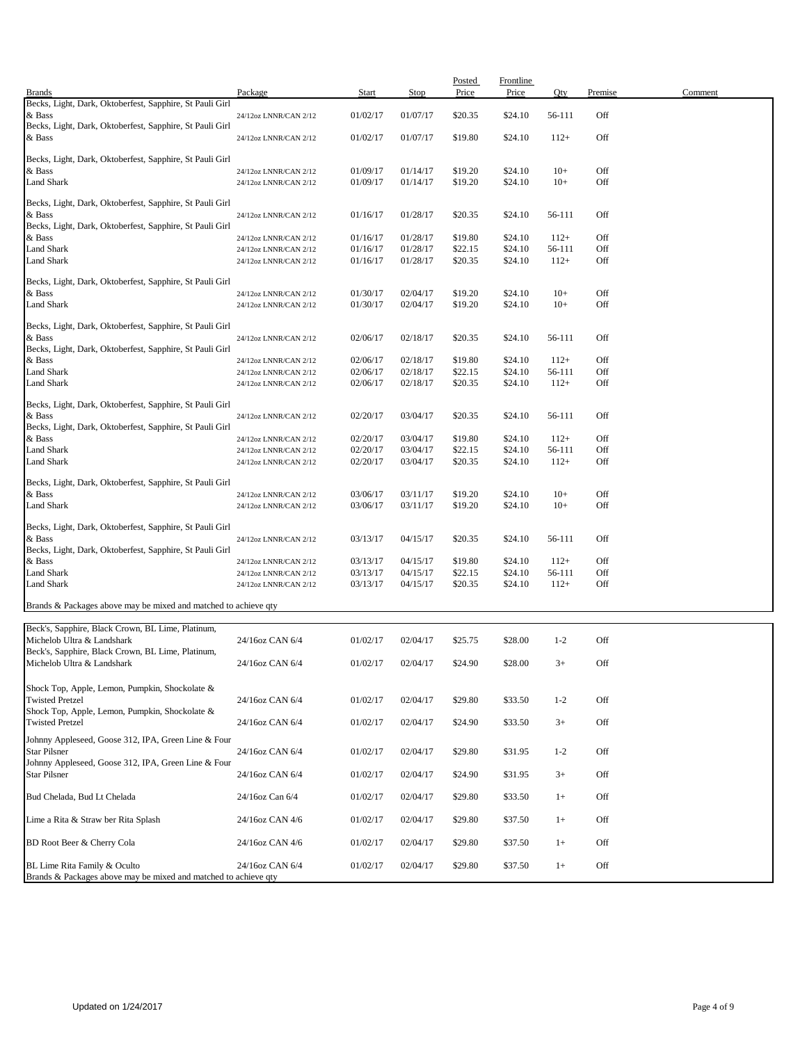|                                                                    |                       |              |          | Posted  | <b>Frontline</b> |         |         |         |
|--------------------------------------------------------------------|-----------------------|--------------|----------|---------|------------------|---------|---------|---------|
| <b>Brands</b>                                                      | Package               | <b>Start</b> | Stop     | Price   | Price            | Qty     | Premise | Comment |
| Becks, Light, Dark, Oktoberfest, Sapphire, St Pauli Girl<br>& Bass | 24/12oz LNNR/CAN 2/12 | 01/02/17     | 01/07/17 | \$20.35 | \$24.10          | 56-111  | Off     |         |
| Becks, Light, Dark, Oktoberfest, Sapphire, St Pauli Girl           |                       |              |          |         |                  |         |         |         |
| & Bass                                                             | 24/12oz LNNR/CAN 2/12 | 01/02/17     | 01/07/17 | \$19.80 | \$24.10          | $112+$  | Off     |         |
|                                                                    |                       |              |          |         |                  |         |         |         |
| Becks, Light, Dark, Oktoberfest, Sapphire, St Pauli Girl           |                       |              |          |         |                  |         |         |         |
| & Bass                                                             | 24/12oz LNNR/CAN 2/12 | 01/09/17     | 01/14/17 | \$19.20 | \$24.10          | $10+$   | Off     |         |
| Land Shark                                                         | 24/12oz LNNR/CAN 2/12 | 01/09/17     | 01/14/17 | \$19.20 | \$24.10          | $10+$   | Off     |         |
| Becks, Light, Dark, Oktoberfest, Sapphire, St Pauli Girl           |                       |              |          |         |                  |         |         |         |
| & Bass                                                             | 24/12oz LNNR/CAN 2/12 | 01/16/17     | 01/28/17 | \$20.35 | \$24.10          | 56-111  | Off     |         |
| Becks, Light, Dark, Oktoberfest, Sapphire, St Pauli Girl           |                       |              |          |         |                  |         |         |         |
| & Bass                                                             | 24/12oz LNNR/CAN 2/12 | 01/16/17     | 01/28/17 | \$19.80 | \$24.10          | $112+$  | Off     |         |
| Land Shark                                                         | 24/12oz LNNR/CAN 2/12 | 01/16/17     | 01/28/17 | \$22.15 | \$24.10          | 56-111  | Off     |         |
| Land Shark                                                         | 24/12oz LNNR/CAN 2/12 | 01/16/17     | 01/28/17 | \$20.35 | \$24.10          | $112+$  | Off     |         |
|                                                                    |                       |              |          |         |                  |         |         |         |
| Becks, Light, Dark, Oktoberfest, Sapphire, St Pauli Girl           |                       |              |          |         |                  |         |         |         |
| & Bass                                                             | 24/12oz LNNR/CAN 2/12 | 01/30/17     | 02/04/17 | \$19.20 | \$24.10          | $10+$   | Off     |         |
| Land Shark                                                         | 24/12oz LNNR/CAN 2/12 | 01/30/17     | 02/04/17 | \$19.20 | \$24.10          | $10+$   | Off     |         |
| Becks, Light, Dark, Oktoberfest, Sapphire, St Pauli Girl           |                       |              |          |         |                  |         |         |         |
| & Bass                                                             | 24/12oz LNNR/CAN 2/12 | 02/06/17     | 02/18/17 | \$20.35 | \$24.10          | 56-111  | Off     |         |
| Becks, Light, Dark, Oktoberfest, Sapphire, St Pauli Girl           |                       |              |          |         |                  |         |         |         |
| & Bass                                                             | 24/12oz LNNR/CAN 2/12 | 02/06/17     | 02/18/17 | \$19.80 | \$24.10          | $112+$  | Off     |         |
| Land Shark                                                         | 24/12oz LNNR/CAN 2/12 | 02/06/17     | 02/18/17 | \$22.15 | \$24.10          | 56-111  | Off     |         |
| Land Shark                                                         | 24/12oz LNNR/CAN 2/12 | 02/06/17     | 02/18/17 | \$20.35 | \$24.10          | $112+$  | Off     |         |
| Becks, Light, Dark, Oktoberfest, Sapphire, St Pauli Girl           |                       |              |          |         |                  |         |         |         |
| & Bass                                                             | 24/12oz LNNR/CAN 2/12 | 02/20/17     | 03/04/17 | \$20.35 | \$24.10          | 56-111  | Off     |         |
| Becks, Light, Dark, Oktoberfest, Sapphire, St Pauli Girl           |                       |              |          |         |                  |         |         |         |
| & Bass                                                             | 24/12oz LNNR/CAN 2/12 | 02/20/17     | 03/04/17 | \$19.80 | \$24.10          | $112+$  | Off     |         |
| Land Shark                                                         | 24/12oz LNNR/CAN 2/12 | 02/20/17     | 03/04/17 | \$22.15 | \$24.10          | 56-111  | Off     |         |
| Land Shark                                                         | 24/12oz LNNR/CAN 2/12 | 02/20/17     | 03/04/17 | \$20.35 | \$24.10          | $112+$  | Off     |         |
|                                                                    |                       |              |          |         |                  |         |         |         |
| Becks, Light, Dark, Oktoberfest, Sapphire, St Pauli Girl           |                       |              |          |         |                  |         |         |         |
| & Bass                                                             | 24/12oz LNNR/CAN 2/12 | 03/06/17     | 03/11/17 | \$19.20 | \$24.10          | $10+$   | Off     |         |
| Land Shark                                                         | 24/12oz LNNR/CAN 2/12 | 03/06/17     | 03/11/17 | \$19.20 | \$24.10          | $10+$   | Off     |         |
| Becks, Light, Dark, Oktoberfest, Sapphire, St Pauli Girl           |                       |              |          |         |                  |         |         |         |
| & Bass                                                             | 24/12oz LNNR/CAN 2/12 | 03/13/17     | 04/15/17 | \$20.35 | \$24.10          | 56-111  | Off     |         |
| Becks, Light, Dark, Oktoberfest, Sapphire, St Pauli Girl           |                       |              |          |         |                  |         |         |         |
| & Bass                                                             | 24/12oz LNNR/CAN 2/12 | 03/13/17     | 04/15/17 | \$19.80 | \$24.10          | $112+$  | Off     |         |
| Land Shark                                                         | 24/12oz LNNR/CAN 2/12 | 03/13/17     | 04/15/17 | \$22.15 | \$24.10          | 56-111  | Off     |         |
| Land Shark                                                         | 24/12oz LNNR/CAN 2/12 | 03/13/17     | 04/15/17 | \$20.35 | \$24.10          | $112+$  | Off     |         |
|                                                                    |                       |              |          |         |                  |         |         |         |
| Brands & Packages above may be mixed and matched to achieve qty    |                       |              |          |         |                  |         |         |         |
| Beck's, Sapphire, Black Crown, BL Lime, Platinum,                  |                       |              |          |         |                  |         |         |         |
| Michelob Ultra & Landshark                                         | 24/16oz CAN 6/4       | 01/02/17     | 02/04/17 | \$25.75 | \$28.00          | $1 - 2$ | Off     |         |
| Beck's, Sapphire, Black Crown, BL Lime, Platinum,                  |                       |              |          |         |                  |         |         |         |
| Michelob Ultra & Landshark                                         | 24/16oz CAN 6/4       | 01/02/17     | 02/04/17 | \$24.90 | \$28.00          | $3+$    | Off     |         |
|                                                                    |                       |              |          |         |                  |         |         |         |
| Shock Top, Apple, Lemon, Pumpkin, Shockolate &                     |                       |              |          |         |                  |         |         |         |
| <b>Twisted Pretzel</b>                                             | 24/16oz CAN 6/4       | 01/02/17     | 02/04/17 | \$29.80 | \$33.50          | $1 - 2$ | Off     |         |
| Shock Top, Apple, Lemon, Pumpkin, Shockolate &                     |                       |              |          |         |                  |         |         |         |
| <b>Twisted Pretzel</b>                                             | 24/16oz CAN 6/4       | 01/02/17     | 02/04/17 | \$24.90 | \$33.50          | $3+$    | Off     |         |
| Johnny Appleseed, Goose 312, IPA, Green Line & Four                |                       |              |          |         |                  |         |         |         |
| <b>Star Pilsner</b>                                                | 24/16oz CAN 6/4       | 01/02/17     | 02/04/17 | \$29.80 | \$31.95          | $1 - 2$ | Off     |         |
| Johnny Appleseed, Goose 312, IPA, Green Line & Four                |                       |              |          |         |                  |         |         |         |
| <b>Star Pilsner</b>                                                | 24/16oz CAN 6/4       | 01/02/17     | 02/04/17 | \$24.90 | \$31.95          | $3+$    | Off     |         |
|                                                                    |                       |              |          |         |                  |         |         |         |
| Bud Chelada, Bud Lt Chelada                                        | 24/16oz Can 6/4       | 01/02/17     | 02/04/17 | \$29.80 | \$33.50          | $1+$    | Off     |         |
|                                                                    |                       |              |          |         |                  |         |         |         |
| Lime a Rita & Straw ber Rita Splash                                | 24/16oz CAN 4/6       | 01/02/17     | 02/04/17 | \$29.80 | \$37.50          | $1+$    | Off     |         |
| BD Root Beer & Cherry Cola                                         | 24/16oz CAN 4/6       | 01/02/17     | 02/04/17 | \$29.80 | \$37.50          | $1+$    | Off     |         |
|                                                                    |                       |              |          |         |                  |         |         |         |
| BL Lime Rita Family & Oculto                                       | 24/16oz CAN 6/4       | 01/02/17     | 02/04/17 | \$29.80 | \$37.50          | $1+$    | Off     |         |
| Brands & Packages above may be mixed and matched to achieve qty    |                       |              |          |         |                  |         |         |         |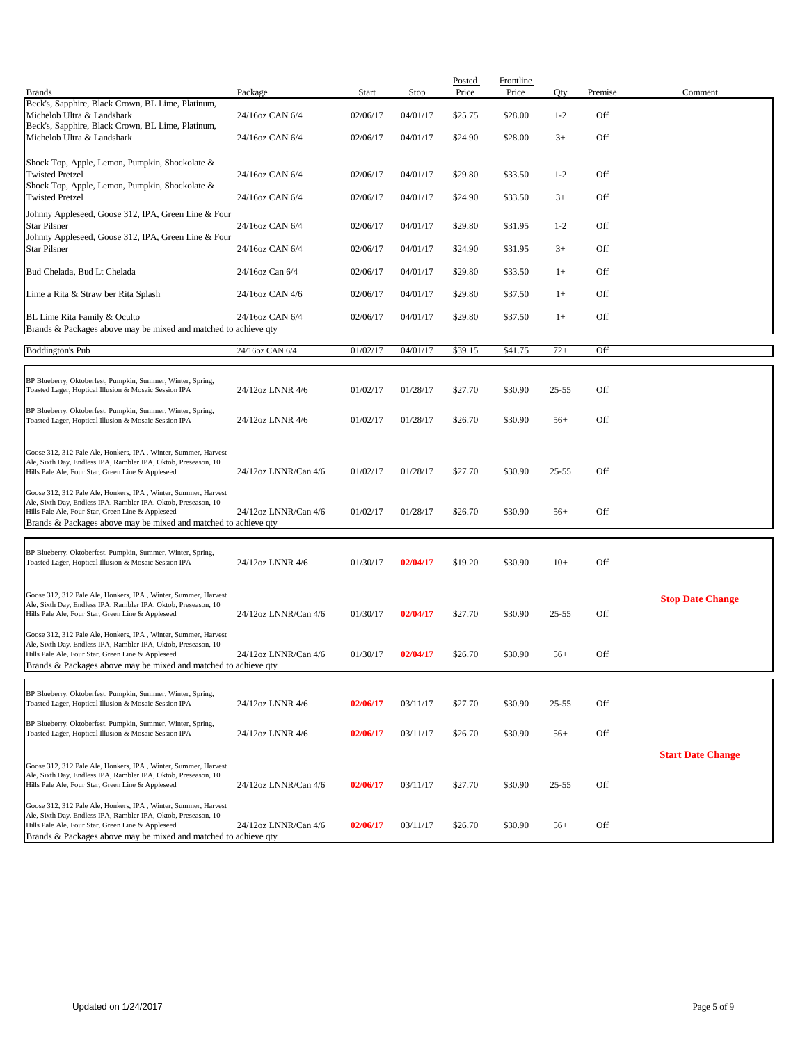| <b>Brands</b>                                                                                                                    | Package              | <b>Start</b> | Stop     | Posted<br>Price | Frontline<br>Price | Qty       | Premise | Comment                  |
|----------------------------------------------------------------------------------------------------------------------------------|----------------------|--------------|----------|-----------------|--------------------|-----------|---------|--------------------------|
| Beck's, Sapphire, Black Crown, BL Lime, Platinum,                                                                                |                      |              |          |                 |                    |           |         |                          |
| Michelob Ultra & Landshark<br>Beck's, Sapphire, Black Crown, BL Lime, Platinum,                                                  | 24/16oz CAN 6/4      | 02/06/17     | 04/01/17 | \$25.75         | \$28.00            | $1 - 2$   | Off     |                          |
| Michelob Ultra & Landshark                                                                                                       | 24/16oz CAN 6/4      | 02/06/17     | 04/01/17 | \$24.90         | \$28.00            | $3+$      | Off     |                          |
|                                                                                                                                  |                      |              |          |                 |                    |           |         |                          |
| Shock Top, Apple, Lemon, Pumpkin, Shockolate &<br><b>Twisted Pretzel</b>                                                         | 24/16oz CAN 6/4      | 02/06/17     | 04/01/17 | \$29.80         | \$33.50            | $1 - 2$   | Off     |                          |
| Shock Top, Apple, Lemon, Pumpkin, Shockolate &                                                                                   |                      |              |          |                 |                    |           |         |                          |
| <b>Twisted Pretzel</b>                                                                                                           | 24/16oz CAN 6/4      | 02/06/17     | 04/01/17 | \$24.90         | \$33.50            | $3+$      | Off     |                          |
| Johnny Appleseed, Goose 312, IPA, Green Line & Four<br><b>Star Pilsner</b>                                                       | 24/16oz CAN 6/4      | 02/06/17     | 04/01/17 | \$29.80         | \$31.95            | $1 - 2$   | Off     |                          |
| Johnny Appleseed, Goose 312, IPA, Green Line & Four                                                                              |                      |              |          |                 |                    |           |         |                          |
| <b>Star Pilsner</b>                                                                                                              | 24/16oz CAN 6/4      | 02/06/17     | 04/01/17 | \$24.90         | \$31.95            | $3+$      | Off     |                          |
| Bud Chelada, Bud Lt Chelada                                                                                                      | 24/16oz Can 6/4      | 02/06/17     | 04/01/17 | \$29.80         | \$33.50            | $1+$      | Off     |                          |
|                                                                                                                                  |                      |              |          |                 |                    |           |         |                          |
| Lime a Rita & Straw ber Rita Splash                                                                                              | 24/16oz CAN 4/6      | 02/06/17     | 04/01/17 | \$29.80         | \$37.50            | $1+$      | Off     |                          |
| BL Lime Rita Family & Oculto                                                                                                     | 24/16oz CAN 6/4      | 02/06/17     | 04/01/17 | \$29.80         | \$37.50            | $1+$      | Off     |                          |
| Brands & Packages above may be mixed and matched to achieve qty                                                                  |                      |              |          |                 |                    |           |         |                          |
| <b>Boddington's Pub</b>                                                                                                          | 24/16oz CAN 6/4      | 01/02/17     | 04/01/17 | \$39.15         | \$41.75            | $72+$     | Off     |                          |
|                                                                                                                                  |                      |              |          |                 |                    |           |         |                          |
| BP Blueberry, Oktoberfest, Pumpkin, Summer, Winter, Spring,<br>Toasted Lager, Hoptical Illusion & Mosaic Session IPA             | 24/12oz LNNR 4/6     | 01/02/17     | 01/28/17 | \$27.70         | \$30.90            | $25 - 55$ | Off     |                          |
|                                                                                                                                  |                      |              |          |                 |                    |           |         |                          |
| BP Blueberry, Oktoberfest, Pumpkin, Summer, Winter, Spring,<br>Toasted Lager, Hoptical Illusion & Mosaic Session IPA             | 24/12oz LNNR 4/6     | 01/02/17     | 01/28/17 | \$26.70         | \$30.90            | $56+$     | Off     |                          |
|                                                                                                                                  |                      |              |          |                 |                    |           |         |                          |
| Goose 312, 312 Pale Ale, Honkers, IPA, Winter, Summer, Harvest                                                                   |                      |              |          |                 |                    |           |         |                          |
| Ale, Sixth Day, Endless IPA, Rambler IPA, Oktob, Preseason, 10<br>Hills Pale Ale, Four Star, Green Line & Appleseed              | 24/12oz LNNR/Can 4/6 | 01/02/17     | 01/28/17 | \$27.70         | \$30.90            | $25 - 55$ | Off     |                          |
|                                                                                                                                  |                      |              |          |                 |                    |           |         |                          |
| Goose 312, 312 Pale Ale, Honkers, IPA, Winter, Summer, Harvest<br>Ale, Sixth Day, Endless IPA, Rambler IPA, Oktob, Preseason, 10 |                      |              |          |                 |                    |           |         |                          |
| Hills Pale Ale, Four Star, Green Line & Appleseed<br>Brands & Packages above may be mixed and matched to achieve qty             | 24/12oz LNNR/Can 4/6 | 01/02/17     | 01/28/17 | \$26.70         | \$30.90            | $56+$     | Off     |                          |
|                                                                                                                                  |                      |              |          |                 |                    |           |         |                          |
| BP Blueberry, Oktoberfest, Pumpkin, Summer, Winter, Spring,                                                                      |                      |              |          |                 |                    |           |         |                          |
| Toasted Lager, Hoptical Illusion & Mosaic Session IPA                                                                            | 24/12oz LNNR 4/6     | 01/30/17     | 02/04/17 | \$19.20         | \$30.90            | $10+$     | Off     |                          |
|                                                                                                                                  |                      |              |          |                 |                    |           |         |                          |
| Goose 312, 312 Pale Ale, Honkers, IPA, Winter, Summer, Harvest<br>Ale, Sixth Day, Endless IPA, Rambler IPA, Oktob, Preseason, 10 |                      |              |          |                 |                    |           |         | <b>Stop Date Change</b>  |
| Hills Pale Ale, Four Star, Green Line & Appleseed                                                                                | 24/12oz LNNR/Can 4/6 | 01/30/17     | 02/04/17 | \$27.70         | \$30.90            | $25 - 55$ | Off     |                          |
| Goose 312, 312 Pale Ale, Honkers, IPA, Winter, Summer, Harvest                                                                   |                      |              |          |                 |                    |           |         |                          |
| Ale, Sixth Day, Endless IPA, Rambler IPA, Oktob, Preseason, 10<br>Hills Pale Ale, Four Star, Green Line & Appleseed              | 24/12oz LNNR/Can 4/6 | 01/30/17     | 02/04/17 | \$26.70         | \$30.90            | $56+$     | Off     |                          |
| Brands & Packages above may be mixed and matched to achieve aty                                                                  |                      |              |          |                 |                    |           |         |                          |
|                                                                                                                                  |                      |              |          |                 |                    |           |         |                          |
| BP Blueberry, Oktoberfest, Pumpkin, Summer, Winter, Spring,<br>Toasted Lager, Hoptical Illusion & Mosaic Session IPA             | 24/12oz LNNR 4/6     | 02/06/17     | 03/11/17 | \$27.70         | \$30.90            | $25 - 55$ | Off     |                          |
|                                                                                                                                  |                      |              |          |                 |                    |           |         |                          |
| BP Blueberry, Oktoberfest, Pumpkin, Summer, Winter, Spring,<br>Toasted Lager, Hoptical Illusion & Mosaic Session IPA             | 24/12oz LNNR 4/6     | 02/06/17     | 03/11/17 | \$26.70         | \$30.90            | $56+$     | Off     |                          |
|                                                                                                                                  |                      |              |          |                 |                    |           |         |                          |
| Goose 312, 312 Pale Ale, Honkers, IPA, Winter, Summer, Harvest                                                                   |                      |              |          |                 |                    |           |         | <b>Start Date Change</b> |
| Ale, Sixth Day, Endless IPA, Rambler IPA, Oktob, Preseason, 10<br>Hills Pale Ale, Four Star, Green Line & Appleseed              | 24/12oz LNNR/Can 4/6 | 02/06/17     | 03/11/17 | \$27.70         | \$30.90            | $25 - 55$ | Off     |                          |
|                                                                                                                                  |                      |              |          |                 |                    |           |         |                          |
| Goose 312, 312 Pale Ale, Honkers, IPA, Winter, Summer, Harvest<br>Ale, Sixth Day, Endless IPA, Rambler IPA, Oktob, Preseason, 10 |                      |              |          |                 |                    |           |         |                          |
| Hills Pale Ale, Four Star, Green Line & Appleseed                                                                                | 24/12oz LNNR/Can 4/6 | 02/06/17     | 03/11/17 | \$26.70         | \$30.90            | $56+$     | Off     |                          |
| Brands & Packages above may be mixed and matched to achieve qty                                                                  |                      |              |          |                 |                    |           |         |                          |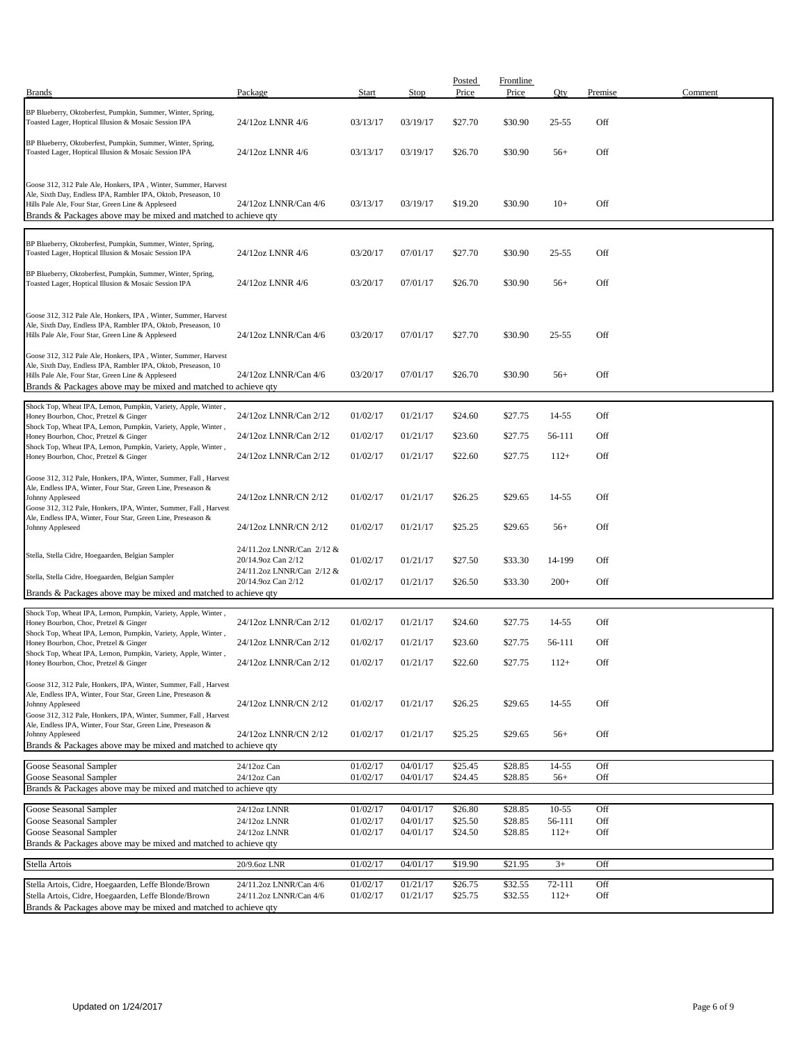| <b>Brands</b>                                                                                                                                                                                                                                            | Package                                          | Start                | Stop                 | Posted<br>Price    | Frontline<br>Price | Qty                | Premise    | Comment |
|----------------------------------------------------------------------------------------------------------------------------------------------------------------------------------------------------------------------------------------------------------|--------------------------------------------------|----------------------|----------------------|--------------------|--------------------|--------------------|------------|---------|
|                                                                                                                                                                                                                                                          |                                                  |                      |                      |                    |                    |                    |            |         |
| BP Blueberry, Oktoberfest, Pumpkin, Summer, Winter, Spring,<br>Toasted Lager, Hoptical Illusion & Mosaic Session IPA                                                                                                                                     | 24/12oz LNNR 4/6                                 | 03/13/17             | 03/19/17             | \$27.70            | \$30.90            | $25 - 55$          | Off        |         |
| BP Blueberry, Oktoberfest, Pumpkin, Summer, Winter, Spring,<br>Toasted Lager, Hoptical Illusion & Mosaic Session IPA                                                                                                                                     | 24/12oz LNNR 4/6                                 | 03/13/17             | 03/19/17             | \$26.70            | \$30.90            | $56+$              | Off        |         |
| Goose 312, 312 Pale Ale, Honkers, IPA, Winter, Summer, Harvest<br>Ale, Sixth Day, Endless IPA, Rambler IPA, Oktob, Preseason, 10<br>Hills Pale Ale, Four Star, Green Line & Appleseed                                                                    | 24/12oz LNNR/Can 4/6                             | 03/13/17             | 03/19/17             | \$19.20            | \$30.90            | $10+$              | Off        |         |
| Brands & Packages above may be mixed and matched to achieve qty                                                                                                                                                                                          |                                                  |                      |                      |                    |                    |                    |            |         |
|                                                                                                                                                                                                                                                          |                                                  |                      |                      |                    |                    |                    |            |         |
| BP Blueberry, Oktoberfest, Pumpkin, Summer, Winter, Spring,<br>Toasted Lager, Hoptical Illusion & Mosaic Session IPA                                                                                                                                     | 24/12oz LNNR 4/6                                 | 03/20/17             | 07/01/17             | \$27.70            | \$30.90            | $25 - 55$          | Off        |         |
| BP Blueberry, Oktoberfest, Pumpkin, Summer, Winter, Spring,<br>Toasted Lager, Hoptical Illusion & Mosaic Session IPA                                                                                                                                     | 24/12oz LNNR 4/6                                 | 03/20/17             | 07/01/17             | \$26.70            | \$30.90            | $56+$              | Off        |         |
| Goose 312, 312 Pale Ale, Honkers, IPA, Winter, Summer, Harvest<br>Ale, Sixth Day, Endless IPA, Rambler IPA, Oktob, Preseason, 10<br>Hills Pale Ale, Four Star, Green Line & Appleseed                                                                    | 24/12oz LNNR/Can 4/6                             | 03/20/17             | 07/01/17             | \$27.70            | \$30.90            | $25 - 55$          | Off        |         |
| Goose 312, 312 Pale Ale, Honkers, IPA, Winter, Summer, Harvest<br>Ale, Sixth Day, Endless IPA, Rambler IPA, Oktob, Preseason, 10<br>Hills Pale Ale, Four Star, Green Line & Appleseed<br>Brands & Packages above may be mixed and matched to achieve qty | 24/12oz LNNR/Can 4/6                             | 03/20/17             | 07/01/17             | \$26.70            | \$30.90            | $56+$              | Off        |         |
| Shock Top, Wheat IPA, Lemon, Pumpkin, Variety, Apple, Winter,<br>Honey Bourbon, Choc, Pretzel & Ginger                                                                                                                                                   | 24/12oz LNNR/Can 2/12                            | 01/02/17             | 01/21/17             | \$24.60            | \$27.75            | 14-55              | Off        |         |
| Shock Top, Wheat IPA, Lemon, Pumpkin, Variety, Apple, Winter,<br>Honey Bourbon, Choc, Pretzel & Ginger                                                                                                                                                   | 24/12oz LNNR/Can 2/12                            | 01/02/17             | 01/21/17             | \$23.60            | \$27.75            | 56-111             | Off        |         |
| Shock Top, Wheat IPA, Lemon, Pumpkin, Variety, Apple, Winter,<br>Honey Bourbon, Choc, Pretzel & Ginger                                                                                                                                                   | 24/12oz LNNR/Can 2/12                            | 01/02/17             | 01/21/17             | \$22.60            | \$27.75            | $112+$             | Off        |         |
| Goose 312, 312 Pale, Honkers, IPA, Winter, Summer, Fall, Harvest<br>Ale, Endless IPA, Winter, Four Star, Green Line, Preseason &<br>Johnny Appleseed<br>Goose 312, 312 Pale, Honkers, IPA, Winter, Summer, Fall, Harvest                                 | 24/12oz LNNR/CN 2/12                             | 01/02/17             | 01/21/17             | \$26.25            | \$29.65            | 14-55              | Off        |         |
| Ale, Endless IPA, Winter, Four Star, Green Line, Preseason &<br>Johnny Appleseed                                                                                                                                                                         | 24/12oz LNNR/CN 2/12                             | 01/02/17             | 01/21/17             | \$25.25            | \$29.65            | $56+$              | Off        |         |
| Stella, Stella Cidre, Hoegaarden, Belgian Sampler                                                                                                                                                                                                        | 24/11.2oz LNNR/Can 2/12 &<br>20/14.9oz Can 2/12  | 01/02/17             | 01/21/17             | \$27.50            | \$33.30            | 14-199             | Off        |         |
| Stella, Stella Cidre, Hoegaarden, Belgian Sampler                                                                                                                                                                                                        | 24/11.2oz LNNR/Can 2/12 &<br>20/14.9oz Can 2/12  | 01/02/17             | 01/21/17             | \$26.50            | \$33.30            | $200+$             | Off        |         |
| Brands & Packages above may be mixed and matched to achieve qty                                                                                                                                                                                          |                                                  |                      |                      |                    |                    |                    |            |         |
| Shock Top, Wheat IPA, Lemon, Pumpkin, Variety, Apple, Winter,<br>Honey Bourbon, Choc, Pretzel & Ginger                                                                                                                                                   | 24/12oz LNNR/Can 2/12                            | 01/02/17             | 01/21/17             | \$24.60            | \$27.75            | 14-55              | Off        |         |
| Shock Top, Wheat IPA, Lemon, Pumpkin, Variety, Apple, Winter,<br>Honey Bourbon, Choc, Pretzel & Ginger                                                                                                                                                   | 24/12oz LNNR/Can 2/12                            | 01/02/17             | 01/21/17             | \$23.60            | \$27.75            | 56-111             | Off        |         |
| Shock Top, Wheat IPA, Lemon, Pumpkin, Variety, Apple, Winter,<br>Honey Bourbon, Choc, Pretzel & Ginger                                                                                                                                                   | 24/12oz LNNR/Can 2/12                            | 01/02/17             | 01/21/17             | \$22.60            | \$27.75            | $112+$             | Off        |         |
| Goose 312, 312 Pale, Honkers, IPA, Winter, Summer, Fall, Harvest<br>Ale, Endless IPA, Winter, Four Star, Green Line, Preseason &<br>Johnny Appleseed<br>Goose 312, 312 Pale, Honkers, IPA, Winter, Summer, Fall, Harvest                                 | 24/12oz LNNR/CN 2/12                             | 01/02/17             | 01/21/17             | \$26.25            | \$29.65            | 14-55              | Off        |         |
| Ale, Endless IPA, Winter, Four Star, Green Line, Preseason &<br>Johnny Appleseed<br>Brands & Packages above may be mixed and matched to achieve gty                                                                                                      | 24/12oz LNNR/CN 2/12                             | 01/02/17             | 01/21/17             | \$25.25            | \$29.65            | $56+$              | Off        |         |
|                                                                                                                                                                                                                                                          |                                                  |                      |                      |                    |                    |                    |            |         |
| Goose Seasonal Sampler<br>Goose Seasonal Sampler                                                                                                                                                                                                         | 24/12oz Can<br>24/12oz Can                       | 01/02/17<br>01/02/17 | 04/01/17<br>04/01/17 | \$25.45<br>\$24.45 | \$28.85<br>\$28.85 | $14 - 55$<br>$56+$ | Off<br>Off |         |
| Brands & Packages above may be mixed and matched to achieve qty                                                                                                                                                                                          |                                                  |                      |                      |                    |                    |                    |            |         |
| Goose Seasonal Sampler                                                                                                                                                                                                                                   | 24/12oz LNNR                                     | 01/02/17             | 04/01/17             | \$26.80            | \$28.85            | $10 - 55$          | Off        |         |
| Goose Seasonal Sampler                                                                                                                                                                                                                                   | 24/12oz LNNR                                     | 01/02/17             | 04/01/17             | \$25.50            | \$28.85            | 56-111             | Off        |         |
| Goose Seasonal Sampler                                                                                                                                                                                                                                   | 24/12oz LNNR                                     | 01/02/17             | 04/01/17             | \$24.50            | \$28.85            | $112+$             | Off        |         |
| Brands & Packages above may be mixed and matched to achieve qty                                                                                                                                                                                          |                                                  |                      |                      |                    |                    |                    |            |         |
| Stella Artois                                                                                                                                                                                                                                            | 20/9.6oz LNR                                     | 01/02/17             | 04/01/17             | \$19.90            | \$21.95            | $3+$               | Off        |         |
| Stella Artois, Cidre, Hoegaarden, Leffe Blonde/Brown<br>Stella Artois, Cidre, Hoegaarden, Leffe Blonde/Brown<br>Brands & Packages above may be mixed and matched to achieve qty                                                                          | 24/11.2oz LNNR/Can 4/6<br>24/11.2oz LNNR/Can 4/6 | 01/02/17<br>01/02/17 | 01/21/17<br>01/21/17 | \$26.75<br>\$25.75 | \$32.55<br>\$32.55 | 72-111<br>$112+$   | Off<br>Off |         |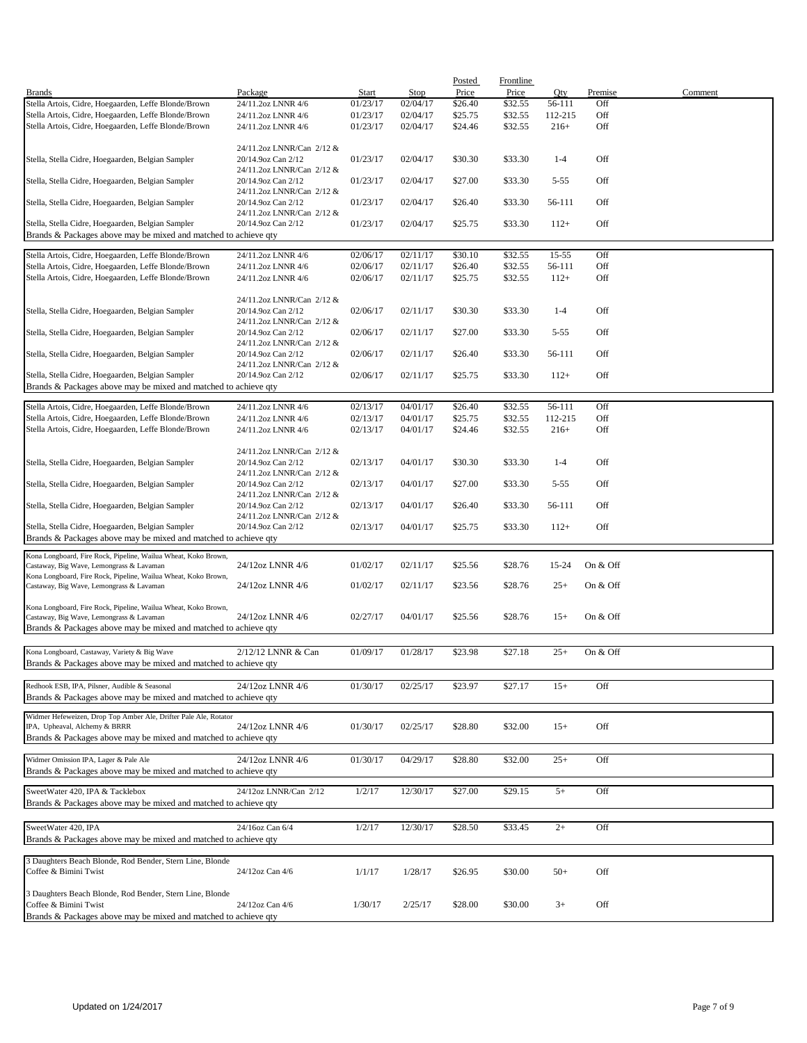|                                                                                                   |                                                 |          |          | Posted  | <b>Frontline</b> |           |          |         |
|---------------------------------------------------------------------------------------------------|-------------------------------------------------|----------|----------|---------|------------------|-----------|----------|---------|
| <b>Brands</b>                                                                                     | Package                                         | Start    | Stop     | Price   | Price            | Qty       | Premise  | Comment |
| Stella Artois, Cidre, Hoegaarden, Leffe Blonde/Brown                                              | 24/11.2oz LNNR 4/6                              | 01/23/17 | 02/04/17 | \$26.40 | \$32.55          | 56-111    | Off      |         |
| Stella Artois, Cidre, Hoegaarden, Leffe Blonde/Brown                                              | 24/11.2oz LNNR 4/6                              | 01/23/17 | 02/04/17 | \$25.75 | \$32.55          | 112-215   | Off      |         |
| Stella Artois, Cidre, Hoegaarden, Leffe Blonde/Brown                                              | 24/11.2oz LNNR 4/6                              | 01/23/17 | 02/04/17 | \$24.46 | \$32.55          | $216+$    | Off      |         |
|                                                                                                   |                                                 |          |          |         |                  |           |          |         |
|                                                                                                   | 24/11.2oz LNNR/Can 2/12 &                       |          |          |         |                  |           |          |         |
| Stella, Stella Cidre, Hoegaarden, Belgian Sampler                                                 | 20/14.9oz Can 2/12<br>24/11.2oz LNNR/Can 2/12 & | 01/23/17 | 02/04/17 | \$30.30 | \$33.30          | $1 - 4$   | Off      |         |
| Stella, Stella Cidre, Hoegaarden, Belgian Sampler                                                 | 20/14.9oz Can 2/12                              | 01/23/17 | 02/04/17 | \$27.00 | \$33.30          | $5 - 55$  | Off      |         |
|                                                                                                   | 24/11.2oz LNNR/Can 2/12 &                       |          |          |         |                  |           |          |         |
| Stella, Stella Cidre, Hoegaarden, Belgian Sampler                                                 | 20/14.9oz Can 2/12                              | 01/23/17 | 02/04/17 | \$26.40 | \$33.30          | 56-111    | Off      |         |
|                                                                                                   | 24/11.2oz LNNR/Can 2/12 &                       |          |          |         |                  |           |          |         |
| Stella, Stella Cidre, Hoegaarden, Belgian Sampler                                                 | 20/14.9oz Can 2/12                              | 01/23/17 | 02/04/17 | \$25.75 | \$33.30          | $112+$    | Off      |         |
| Brands & Packages above may be mixed and matched to achieve qty                                   |                                                 |          |          |         |                  |           |          |         |
|                                                                                                   |                                                 |          |          |         |                  |           |          |         |
| Stella Artois, Cidre, Hoegaarden, Leffe Blonde/Brown                                              | 24/11.2oz LNNR 4/6                              | 02/06/17 | 02/11/17 | \$30.10 | \$32.55          | $15 - 55$ | Off      |         |
| Stella Artois, Cidre, Hoegaarden, Leffe Blonde/Brown                                              | 24/11.2oz LNNR 4/6                              | 02/06/17 | 02/11/17 | \$26.40 | \$32.55          | 56-111    | Off      |         |
| Stella Artois, Cidre, Hoegaarden, Leffe Blonde/Brown                                              | 24/11.2oz LNNR 4/6                              | 02/06/17 | 02/11/17 | \$25.75 | \$32.55          | $112+$    | Off      |         |
|                                                                                                   |                                                 |          |          |         |                  |           |          |         |
|                                                                                                   | 24/11.2oz LNNR/Can 2/12 &                       |          |          |         |                  |           |          |         |
| Stella, Stella Cidre, Hoegaarden, Belgian Sampler                                                 | 20/14.9oz Can 2/12                              | 02/06/17 | 02/11/17 | \$30.30 | \$33.30          | $1 - 4$   | Off      |         |
|                                                                                                   | 24/11.2oz LNNR/Can 2/12 &                       |          |          |         |                  |           |          |         |
| Stella, Stella Cidre, Hoegaarden, Belgian Sampler                                                 | 20/14.9oz Can 2/12                              | 02/06/17 | 02/11/17 | \$27.00 | \$33.30          | $5 - 55$  | Off      |         |
|                                                                                                   | 24/11.2oz LNNR/Can 2/12 &                       |          |          |         |                  |           |          |         |
| Stella, Stella Cidre, Hoegaarden, Belgian Sampler                                                 | 20/14.9oz Can 2/12<br>24/11.2oz LNNR/Can 2/12 & | 02/06/17 | 02/11/17 | \$26.40 | \$33.30          | 56-111    | Off      |         |
| Stella, Stella Cidre, Hoegaarden, Belgian Sampler                                                 | 20/14.9oz Can 2/12                              |          | 02/11/17 |         | \$33.30          |           | Off      |         |
| Brands & Packages above may be mixed and matched to achieve qty                                   |                                                 | 02/06/17 |          | \$25.75 |                  | $112+$    |          |         |
|                                                                                                   |                                                 |          |          |         |                  |           |          |         |
| Stella Artois, Cidre, Hoegaarden, Leffe Blonde/Brown                                              | 24/11.2oz LNNR 4/6                              | 02/13/17 | 04/01/17 | \$26.40 | \$32.55          | 56-111    | Off      |         |
| Stella Artois, Cidre, Hoegaarden, Leffe Blonde/Brown                                              | 24/11.2oz LNNR 4/6                              | 02/13/17 | 04/01/17 | \$25.75 | \$32.55          | 112-215   | Off      |         |
| Stella Artois, Cidre, Hoegaarden, Leffe Blonde/Brown                                              | 24/11.2oz LNNR 4/6                              | 02/13/17 | 04/01/17 | \$24.46 | \$32.55          | $216+$    | Off      |         |
|                                                                                                   |                                                 |          |          |         |                  |           |          |         |
|                                                                                                   | 24/11.2oz LNNR/Can 2/12 &                       |          |          |         |                  |           |          |         |
| Stella, Stella Cidre, Hoegaarden, Belgian Sampler                                                 | 20/14.9oz Can 2/12                              | 02/13/17 | 04/01/17 | \$30.30 | \$33.30          | $1 - 4$   | Off      |         |
|                                                                                                   | 24/11.2oz LNNR/Can 2/12 &                       |          |          |         |                  |           |          |         |
| Stella, Stella Cidre, Hoegaarden, Belgian Sampler                                                 | 20/14.9oz Can 2/12                              | 02/13/17 | 04/01/17 | \$27.00 | \$33.30          | $5 - 55$  | Off      |         |
|                                                                                                   | 24/11.2oz LNNR/Can 2/12 &                       |          |          |         |                  |           |          |         |
| Stella, Stella Cidre, Hoegaarden, Belgian Sampler                                                 | 20/14.9oz Can 2/12                              | 02/13/17 | 04/01/17 | \$26.40 | \$33.30          | 56-111    | Off      |         |
|                                                                                                   | 24/11.2oz LNNR/Can 2/12 &                       |          |          |         |                  |           |          |         |
| Stella, Stella Cidre, Hoegaarden, Belgian Sampler                                                 | 20/14.9oz Can 2/12                              | 02/13/17 | 04/01/17 | \$25.75 | \$33.30          | $112+$    | Off      |         |
| Brands & Packages above may be mixed and matched to achieve qty                                   |                                                 |          |          |         |                  |           |          |         |
| Kona Longboard, Fire Rock, Pipeline, Wailua Wheat, Koko Brown,                                    |                                                 |          |          |         |                  |           |          |         |
| Castaway, Big Wave, Lemongrass & Lavaman                                                          | 24/12oz LNNR 4/6                                | 01/02/17 | 02/11/17 | \$25.56 | \$28.76          | 15-24     | On & Off |         |
| Kona Longboard, Fire Rock, Pipeline, Wailua Wheat, Koko Brown,                                    |                                                 |          |          |         |                  |           |          |         |
| Castaway, Big Wave, Lemongrass & Lavaman                                                          | 24/12oz LNNR 4/6                                | 01/02/17 | 02/11/17 | \$23.56 | \$28.76          | $25+$     | On & Off |         |
|                                                                                                   |                                                 |          |          |         |                  |           |          |         |
| Kona Longboard, Fire Rock, Pipeline, Wailua Wheat, Koko Brown,                                    |                                                 |          |          |         |                  |           |          |         |
| Castaway, Big Wave, Lemongrass & Lavaman                                                          | 24/12oz LNNR 4/6                                | 02/27/17 | 04/01/17 | \$25.56 | \$28.76          | $15+$     | On & Off |         |
| Brands & Packages above may be mixed and matched to achieve qty                                   |                                                 |          |          |         |                  |           |          |         |
|                                                                                                   |                                                 |          |          |         |                  |           |          |         |
| Kona Longboard, Castaway, Variety & Big Wave                                                      | 2/12/12 LNNR & Can                              | 01/09/17 | 01/28/17 | \$23.98 | \$27.18          | $25+$     | On & Off |         |
| Brands & Packages above may be mixed and matched to achieve qty                                   |                                                 |          |          |         |                  |           |          |         |
|                                                                                                   |                                                 |          |          |         |                  |           |          |         |
| Redhook ESB, IPA, Pilsner, Audible & Seasonal                                                     | 24/12oz LNNR 4/6                                | 01/30/17 | 02/25/17 | \$23.97 | \$27.17          | $15+$     | Off      |         |
| Brands & Packages above may be mixed and matched to achieve qty                                   |                                                 |          |          |         |                  |           |          |         |
|                                                                                                   |                                                 |          |          |         |                  |           |          |         |
| Widmer Hefeweizen, Drop Top Amber Ale, Drifter Pale Ale, Rotator<br>IPA, Upheaval, Alchemy & BRRR | 24/12oz LNNR 4/6                                | 01/30/17 | 02/25/17 | \$28.80 | \$32.00          | $15+$     | Off      |         |
| Brands & Packages above may be mixed and matched to achieve qty                                   |                                                 |          |          |         |                  |           |          |         |
|                                                                                                   |                                                 |          |          |         |                  |           |          |         |
| Widmer Omission IPA, Lager & Pale Ale                                                             | 24/12oz LNNR 4/6                                | 01/30/17 | 04/29/17 | \$28.80 | \$32.00          | $25+$     | Off      |         |
| Brands & Packages above may be mixed and matched to achieve qty                                   |                                                 |          |          |         |                  |           |          |         |
|                                                                                                   |                                                 |          |          |         |                  |           |          |         |
| SweetWater 420, IPA & Tacklebox                                                                   | 24/12oz LNNR/Can 2/12                           | 1/2/17   | 12/30/17 | \$27.00 | \$29.15          | $5+$      | Off      |         |
| Brands & Packages above may be mixed and matched to achieve qty                                   |                                                 |          |          |         |                  |           |          |         |
|                                                                                                   |                                                 |          |          |         |                  |           |          |         |
| SweetWater 420, IPA                                                                               | 24/16oz Can 6/4                                 | 1/2/17   | 12/30/17 | \$28.50 | \$33.45          | $2+$      | Off      |         |
| Brands & Packages above may be mixed and matched to achieve qty                                   |                                                 |          |          |         |                  |           |          |         |
|                                                                                                   |                                                 |          |          |         |                  |           |          |         |
| 3 Daughters Beach Blonde, Rod Bender, Stern Line, Blonde                                          |                                                 |          |          |         |                  |           |          |         |
| Coffee & Bimini Twist                                                                             | 24/12oz Can 4/6                                 | 1/1/17   | 1/28/17  | \$26.95 | \$30.00          | $50+$     | Off      |         |
|                                                                                                   |                                                 |          |          |         |                  |           |          |         |
| 3 Daughters Beach Blonde, Rod Bender, Stern Line, Blonde                                          |                                                 |          |          |         |                  |           |          |         |
| Coffee & Bimini Twist                                                                             | 24/12oz Can 4/6                                 | 1/30/17  | 2/25/17  | \$28.00 | \$30.00          | $3+$      | Off      |         |
| Brands & Packages above may be mixed and matched to achieve qty                                   |                                                 |          |          |         |                  |           |          |         |
|                                                                                                   |                                                 |          |          |         |                  |           |          |         |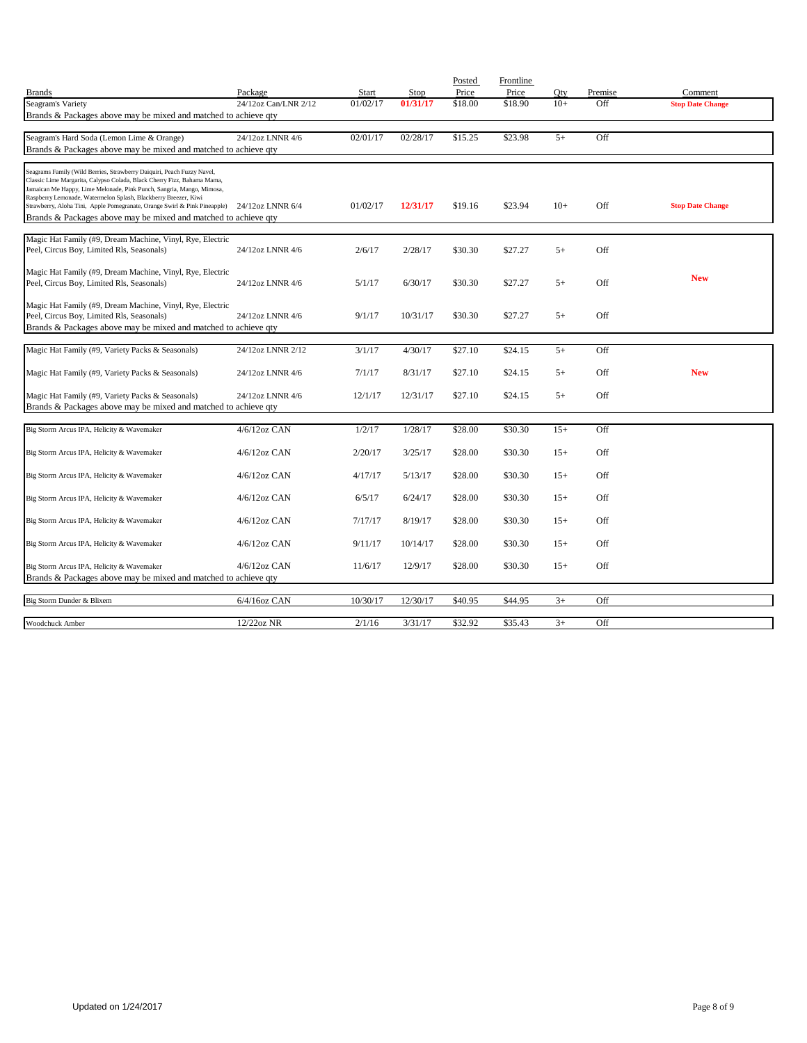|                                                                                                                                                                                                                                                                                                                                                                                                                                                                |                      |          |          | Posted  | Frontline |       |         |                         |
|----------------------------------------------------------------------------------------------------------------------------------------------------------------------------------------------------------------------------------------------------------------------------------------------------------------------------------------------------------------------------------------------------------------------------------------------------------------|----------------------|----------|----------|---------|-----------|-------|---------|-------------------------|
| <b>Brands</b>                                                                                                                                                                                                                                                                                                                                                                                                                                                  | Package              | Start    | Stop     | Price   | Price     | Oty   | Premise | Comment                 |
| Seagram's Variety                                                                                                                                                                                                                                                                                                                                                                                                                                              | 24/12oz Can/LNR 2/12 | 01/02/17 | 01/31/17 | \$18.00 | \$18.90   | $10+$ | Off     | <b>Stop Date Change</b> |
| Brands & Packages above may be mixed and matched to achieve qty                                                                                                                                                                                                                                                                                                                                                                                                |                      |          |          |         |           |       |         |                         |
| Seagram's Hard Soda (Lemon Lime & Orange)                                                                                                                                                                                                                                                                                                                                                                                                                      | 24/12oz LNNR 4/6     | 02/01/17 | 02/28/17 | \$15.25 | \$23.98   | $5+$  | Off     |                         |
| Brands & Packages above may be mixed and matched to achieve qty                                                                                                                                                                                                                                                                                                                                                                                                |                      |          |          |         |           |       |         |                         |
|                                                                                                                                                                                                                                                                                                                                                                                                                                                                |                      |          |          |         |           |       |         |                         |
| Seagrams Family (Wild Berries, Strawberry Daiquiri, Peach Fuzzy Navel,<br>Classic Lime Margarita, Calypso Colada, Black Cherry Fizz, Bahama Mama,<br>Jamaican Me Happy, Lime Melonade, Pink Punch, Sangria, Mango, Mimosa,<br>Raspberry Lemonade, Watermelon Splash, Blackberry Breezer, Kiwi<br>Strawberry, Aloha Tini, Apple Pomegranate, Orange Swirl & Pink Pineapple) 24/12oz LNNR 6/4<br>Brands & Packages above may be mixed and matched to achieve qty |                      | 01/02/17 | 12/31/17 | \$19.16 | \$23.94   | $10+$ | Off     | <b>Stop Date Change</b> |
| Magic Hat Family (#9, Dream Machine, Vinyl, Rye, Electric                                                                                                                                                                                                                                                                                                                                                                                                      |                      |          |          |         |           |       |         |                         |
| Peel, Circus Boy, Limited Rls, Seasonals)                                                                                                                                                                                                                                                                                                                                                                                                                      | 24/12oz LNNR 4/6     | 2/6/17   | 2/28/17  | \$30.30 | \$27.27   | $5+$  | Off     |                         |
|                                                                                                                                                                                                                                                                                                                                                                                                                                                                |                      |          |          |         |           |       |         |                         |
| Magic Hat Family (#9, Dream Machine, Vinyl, Rye, Electric                                                                                                                                                                                                                                                                                                                                                                                                      |                      |          |          |         |           |       |         | <b>New</b>              |
| Peel, Circus Boy, Limited Rls, Seasonals)                                                                                                                                                                                                                                                                                                                                                                                                                      | 24/12oz LNNR 4/6     | 5/1/17   | 6/30/17  | \$30.30 | \$27.27   | $5+$  | Off     |                         |
| Magic Hat Family (#9, Dream Machine, Vinyl, Rye, Electric                                                                                                                                                                                                                                                                                                                                                                                                      |                      |          |          |         |           |       |         |                         |
| Peel, Circus Boy, Limited Rls, Seasonals)                                                                                                                                                                                                                                                                                                                                                                                                                      | 24/12oz LNNR 4/6     | 9/1/17   | 10/31/17 | \$30.30 | \$27.27   | $5+$  | Off     |                         |
| Brands & Packages above may be mixed and matched to achieve qty                                                                                                                                                                                                                                                                                                                                                                                                |                      |          |          |         |           |       |         |                         |
|                                                                                                                                                                                                                                                                                                                                                                                                                                                                |                      |          |          |         |           |       |         |                         |
| Magic Hat Family (#9, Variety Packs & Seasonals)                                                                                                                                                                                                                                                                                                                                                                                                               | 24/12oz LNNR 2/12    | 3/1/17   | 4/30/17  | \$27.10 | \$24.15   | $5+$  | Off     |                         |
|                                                                                                                                                                                                                                                                                                                                                                                                                                                                |                      |          |          |         |           |       |         |                         |
| Magic Hat Family (#9, Variety Packs & Seasonals)                                                                                                                                                                                                                                                                                                                                                                                                               | 24/12oz LNNR 4/6     | 7/1/17   | 8/31/17  | \$27.10 | \$24.15   | $5+$  | Off     | <b>New</b>              |
| Magic Hat Family (#9, Variety Packs & Seasonals)                                                                                                                                                                                                                                                                                                                                                                                                               | 24/12oz LNNR 4/6     | 12/1/17  | 12/31/17 | \$27.10 | \$24.15   | $5+$  | Off     |                         |
| Brands & Packages above may be mixed and matched to achieve qty                                                                                                                                                                                                                                                                                                                                                                                                |                      |          |          |         |           |       |         |                         |
|                                                                                                                                                                                                                                                                                                                                                                                                                                                                |                      |          |          |         |           |       |         |                         |
| Big Storm Arcus IPA, Helicity & Wavemaker                                                                                                                                                                                                                                                                                                                                                                                                                      | 4/6/12oz CAN         | 1/2/17   | 1/28/17  | \$28.00 | \$30.30   | $15+$ | Off     |                         |
|                                                                                                                                                                                                                                                                                                                                                                                                                                                                |                      |          |          |         |           |       |         |                         |
| Big Storm Arcus IPA, Helicity & Wavemaker                                                                                                                                                                                                                                                                                                                                                                                                                      | $4/6/12$ oz CAN      | 2/20/17  | 3/25/17  | \$28.00 | \$30.30   | $15+$ | Off     |                         |
|                                                                                                                                                                                                                                                                                                                                                                                                                                                                |                      |          |          |         |           |       |         |                         |
| Big Storm Arcus IPA, Helicity & Wavemaker                                                                                                                                                                                                                                                                                                                                                                                                                      | $4/6/12$ oz CAN      | 4/17/17  | 5/13/17  | \$28.00 | \$30.30   | $15+$ | Off     |                         |
| Big Storm Arcus IPA, Helicity & Wavemaker                                                                                                                                                                                                                                                                                                                                                                                                                      | $4/6/12$ oz CAN      | 6/5/17   | 6/24/17  | \$28.00 | \$30.30   | $15+$ | Off     |                         |
|                                                                                                                                                                                                                                                                                                                                                                                                                                                                |                      |          |          |         |           |       |         |                         |
| Big Storm Arcus IPA, Helicity & Wavemaker                                                                                                                                                                                                                                                                                                                                                                                                                      | 4/6/12oz CAN         | 7/17/17  | 8/19/17  | \$28.00 | \$30.30   | $15+$ | Off     |                         |
|                                                                                                                                                                                                                                                                                                                                                                                                                                                                |                      |          |          |         |           |       |         |                         |
| Big Storm Arcus IPA, Helicity & Wavemaker                                                                                                                                                                                                                                                                                                                                                                                                                      | $4/6/12$ oz CAN      | 9/11/17  | 10/14/17 | \$28.00 | \$30.30   | $15+$ | Off     |                         |
|                                                                                                                                                                                                                                                                                                                                                                                                                                                                |                      |          |          |         |           |       |         |                         |
| Big Storm Arcus IPA, Helicity & Wavemaker                                                                                                                                                                                                                                                                                                                                                                                                                      | $4/6/12$ oz CAN      | 11/6/17  | 12/9/17  | \$28.00 | \$30.30   | $15+$ | Off     |                         |
| Brands & Packages above may be mixed and matched to achieve qty                                                                                                                                                                                                                                                                                                                                                                                                |                      |          |          |         |           |       |         |                         |
| Big Storm Dunder & Blixem                                                                                                                                                                                                                                                                                                                                                                                                                                      | $6/4/16$ oz CAN      | 10/30/17 | 12/30/17 | \$40.95 | \$44.95   | $3+$  | Off     |                         |
|                                                                                                                                                                                                                                                                                                                                                                                                                                                                |                      |          |          |         |           |       |         |                         |
| Woodchuck Amber                                                                                                                                                                                                                                                                                                                                                                                                                                                | 12/22oz NR           | 2/1/16   | 3/31/17  | \$32.92 | \$35.43   | $3+$  | Off     |                         |
|                                                                                                                                                                                                                                                                                                                                                                                                                                                                |                      |          |          |         |           |       |         |                         |